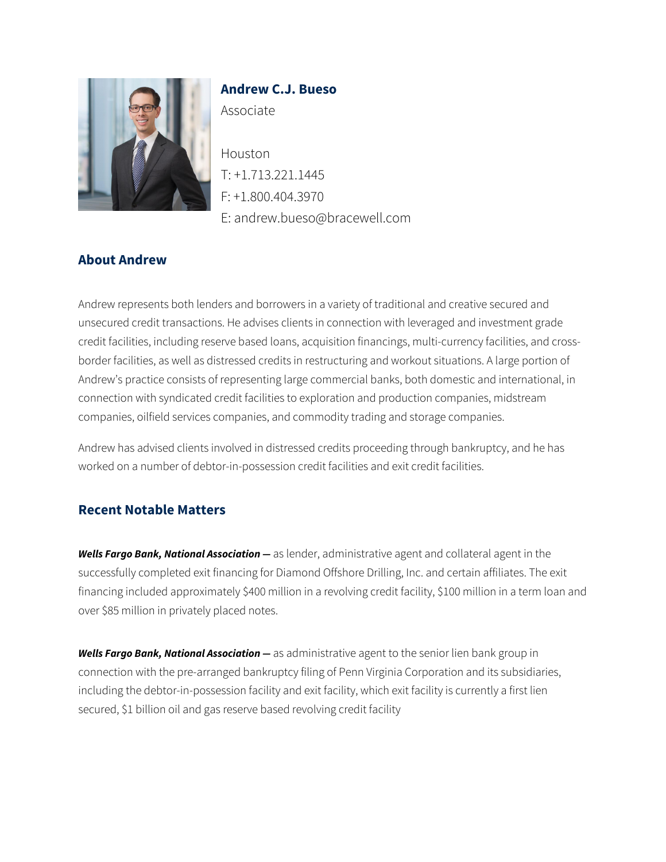

# **Andrew C.J. Bueso**

Associate

Houston T: +1.713.221.1445 F: +1.800.404.3970 E: andrew.bueso@bracewell.com

# **About Andrew**

Andrew represents both lenders and borrowers in a variety of traditional and creative secured and unsecured credit transactions. He advises clients in connection with leveraged and investment grade credit facilities, including reserve based loans, acquisition financings, multi-currency facilities, and crossborder facilities, as well as distressed credits in restructuring and workout situations. A large portion of Andrew's practice consists of representing large commercial banks, both domestic and international, in connection with syndicated credit facilities to exploration and production companies, midstream companies, oilfield services companies, and commodity trading and storage companies.

Andrew has advised clients involved in distressed credits proceeding through bankruptcy, and he has worked on a number of debtor-in-possession credit facilities and exit credit facilities.

# **Recent Notable Matters**

*Wells Fargo Bank, National Association —* as lender, administrative agent and collateral agent in the successfully completed exit financing for Diamond Offshore Drilling, Inc. and certain affiliates. The exit financing included approximately \$400 million in a revolving credit facility, \$100 million in a term loan and over \$85 million in privately placed notes.

*Wells Fargo Bank, National Association —* as administrative agent to the senior lien bank group in connection with the pre-arranged bankruptcy filing of Penn Virginia Corporation and its subsidiaries, including the debtor-in-possession facility and exit facility, which exit facility is currently a first lien secured, \$1 billion oil and gas reserve based revolving credit facility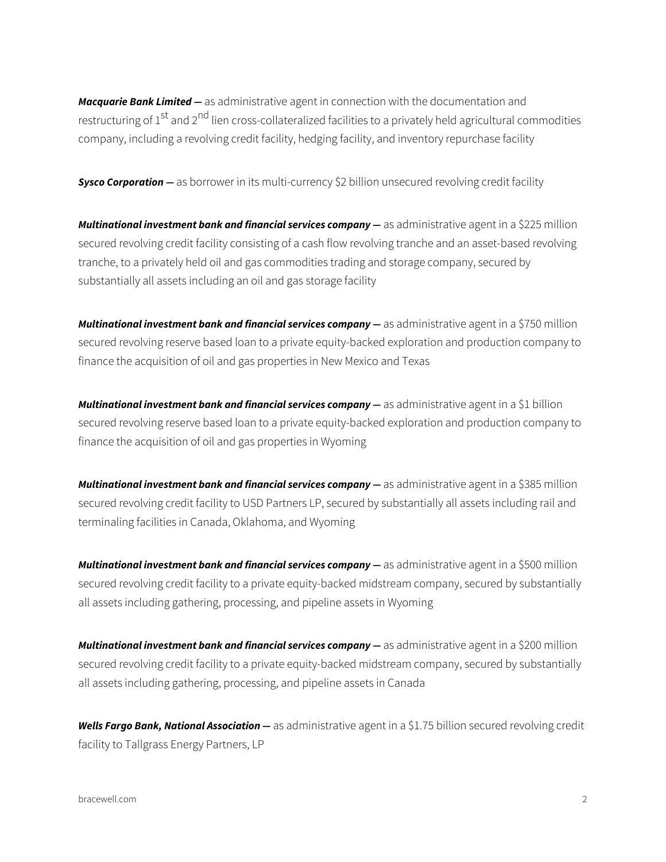*Macquarie Bank Limited —* as administrative agent in connection with the documentation and restructuring of 1<sup>st</sup> and 2<sup>nd</sup> lien cross-collateralized facilities to a privately held agricultural commodities company, including a revolving credit facility, hedging facility, and inventory repurchase facility

**Sysco Corporation** - as borrower in its multi-currency \$2 billion unsecured revolving credit facility

Multinational investment bank and financial services company — as administrative agent in a \$225 million secured revolving credit facility consisting of a cash flow revolving tranche and an asset-based revolving tranche, to a privately held oil and gas commodities trading and storage company, secured by substantially all assets including an oil and gas storage facility

*Multinational investment bank and financial services company — as administrative agent in a \$750 million* secured revolving reserve based loan to a private equity-backed exploration and production company to finance the acquisition of oil and gas properties in New Mexico and Texas

*Multinational investment bank and financial services company — as administrative agent in a \$1 billion* secured revolving reserve based loan to a private equity-backed exploration and production company to finance the acquisition of oil and gas properties in Wyoming

Multinational investment bank and financial services company — as administrative agent in a \$385 million secured revolving credit facility to USD Partners LP, secured by substantially all assets including rail and terminaling facilities in Canada, Oklahoma, and Wyoming

*Multinational investment bank and financial services company — as administrative agent in a \$500 million* secured revolving credit facility to a private equity-backed midstream company, secured by substantially all assets including gathering, processing, and pipeline assets in Wyoming

*Multinational investment bank and financial services company — as administrative agent in a \$200 million* secured revolving credit facility to a private equity-backed midstream company, secured by substantially all assets including gathering, processing, and pipeline assets in Canada

*Wells Fargo Bank, National Association —* as administrative agent in a \$1.75 billion secured revolving credit facility to Tallgrass Energy Partners, LP